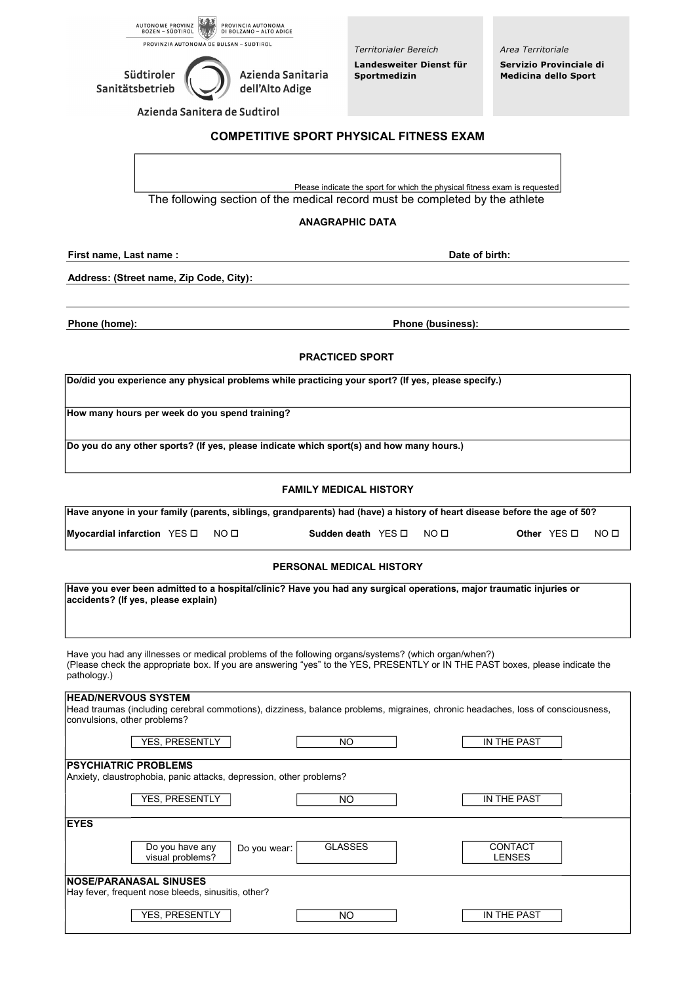

*Territorialer Bereich* **Landesweiter Dienst für**  Azienda Sanitaria **Sportmedizin** 

*Area Territoriale* **Servizio Provinciale di Medicina dello Sport**

Azienda Sanitera de Sudtirol

# **COMPETITIVE SPORT PHYSICAL FITNESS EXAM**

Please indicate the sport for which the physical fitness exam is requested The following section of the medical record must be completed by the athlete

## **ANAGRAPHIC DATA**

**First name, Last name : Date of birth:**

**Address: (Street name, Zip Code, City):**

Südtiroler

Sanitätsbetrieb

**Phone (home): Phone (business): Phone (business):** 

# **PRACTICED SPORT**

**Do/did you experience any physical problems while practicing your sport? (If yes, please specify.)**

dell'Alto Adige

**How many hours per week do you spend training?**

**Do you do any other sports? (If yes, please indicate which sport(s) and how many hours.)**

#### **FAMILY MEDICAL HISTORY**

**Have anyone in your family (parents, siblings, grandparents) had (have) a history of heart disease before the age of 50?**

**Myocardial infarction** YES NO **Sudden death** YES NO **Other** YES NO

#### **PERSONAL MEDICAL HISTORY**

| Have you ever been admitted to a hospital/clinic? Have you had any surgical operations, major traumatic injuries or<br>accidents? (If yes, please explain)<br>Have you had any illnesses or medical problems of the following organs/systems? (which organ/when?)<br>(Please check the appropriate box. If you are answering "yes" to the YES, PRESENTLY or IN THE PAST boxes, please indicate the<br>pathology.) |  |  |  |  |
|-------------------------------------------------------------------------------------------------------------------------------------------------------------------------------------------------------------------------------------------------------------------------------------------------------------------------------------------------------------------------------------------------------------------|--|--|--|--|
|                                                                                                                                                                                                                                                                                                                                                                                                                   |  |  |  |  |
| YES. PRESENTLY<br>IN THE PAST<br><b>NO</b>                                                                                                                                                                                                                                                                                                                                                                        |  |  |  |  |
| <b>PSYCHIATRIC PROBLEMS</b><br>Anxiety, claustrophobia, panic attacks, depression, other problems?                                                                                                                                                                                                                                                                                                                |  |  |  |  |
| YES, PRESENTLY<br>IN THE PAST<br>NO.                                                                                                                                                                                                                                                                                                                                                                              |  |  |  |  |
| <b>EYES</b>                                                                                                                                                                                                                                                                                                                                                                                                       |  |  |  |  |
| <b>GLASSES</b><br><b>CONTACT</b><br>Do you have any<br>Do you wear:<br>visual problems?<br><b>LENSES</b>                                                                                                                                                                                                                                                                                                          |  |  |  |  |
| <b>NOSE/PARANASAL SINUSES</b><br>Hay fever, frequent nose bleeds, sinusitis, other?                                                                                                                                                                                                                                                                                                                               |  |  |  |  |
| YES, PRESENTLY<br>NO<br>IN THE PAST                                                                                                                                                                                                                                                                                                                                                                               |  |  |  |  |